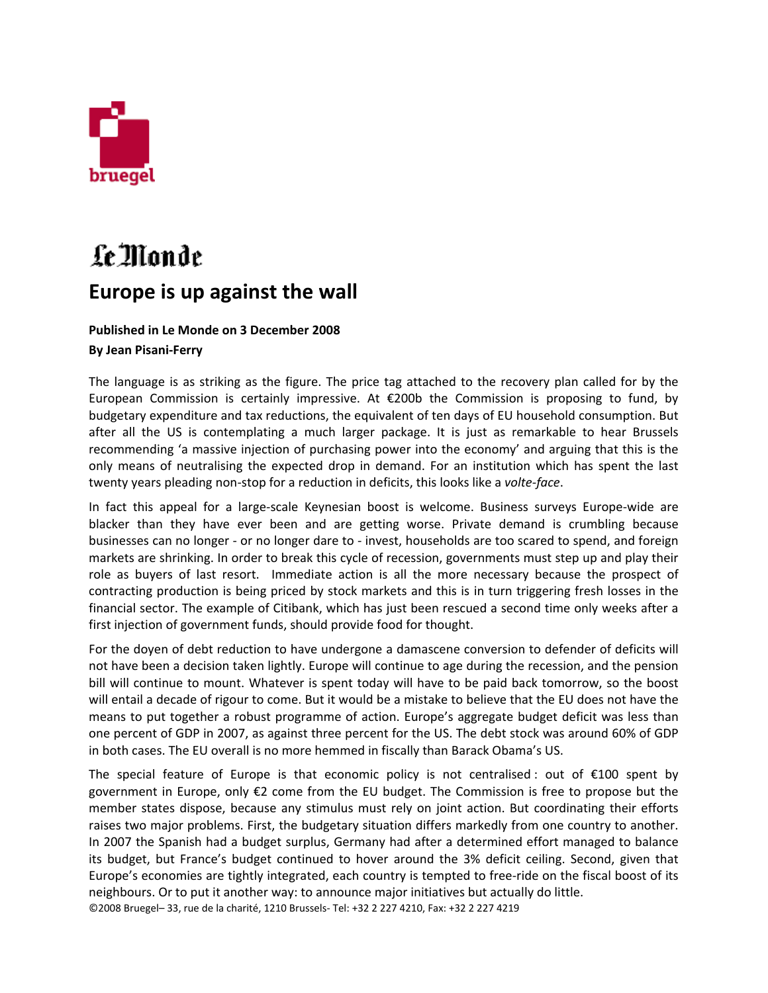

## Le Monde **Europe is up against the wall**

## **Published in Le Monde on 3 December 2008 By Jean Pisani‐Ferry**

The language is as striking as the figure. The price tag attached to the recovery plan called for by the European Commission is certainly impressive. At €200b the Commission is proposing to fund, by budgetary expenditure and tax reductions, the equivalent of ten days of EU household consumption. But after all the US is contemplating a much larger package. It is just as remarkable to hear Brussels recommending 'a massive injection of purchasing power into the economy' and arguing that this is the only means of neutralising the expected drop in demand. For an institution which has spent the last twenty years pleading non‐stop for a reduction in deficits, this looks like a *volte‐face*.

In fact this appeal for a large-scale Keynesian boost is welcome. Business surveys Europe-wide are blacker than they have ever been and are getting worse. Private demand is crumbling because businesses can no longer ‐ or no longer dare to ‐ invest, households are too scared to spend, and foreign markets are shrinking. In order to break this cycle of recession, governments must step up and play their role as buyers of last resort. Immediate action is all the more necessary because the prospect of contracting production is being priced by stock markets and this is in turn triggering fresh losses in the financial sector. The example of Citibank, which has just been rescued a second time only weeks after a first injection of government funds, should provide food for thought.

For the doyen of debt reduction to have undergone a damascene conversion to defender of deficits will not have been a decision taken lightly. Europe will continue to age during the recession, and the pension bill will continue to mount. Whatever is spent today will have to be paid back tomorrow, so the boost will entail a decade of rigour to come. But it would be a mistake to believe that the EU does not have the means to put together a robust programme of action. Europe's aggregate budget deficit was less than one percent of GDP in 2007, as against three percent for the US. The debt stock was around 60% of GDP in both cases. The EU overall is no more hemmed in fiscally than Barack Obama's US.

©2008 Bruegel– 33, rue de la charité, 1210 Brussels‐ Tel: +32 2 227 4210, Fax: +32 2 227 4219 The special feature of Europe is that economic policy is not centralised : out of €100 spent by government in Europe, only €2 come from the EU budget. The Commission is free to propose but the member states dispose, because any stimulus must rely on joint action. But coordinating their efforts raises two major problems. First, the budgetary situation differs markedly from one country to another. In 2007 the Spanish had a budget surplus, Germany had after a determined effort managed to balance its budget, but France's budget continued to hover around the 3% deficit ceiling. Second, given that Europe's economies are tightly integrated, each country is tempted to free‐ride on the fiscal boost of its neighbours. Or to put it another way: to announce major initiatives but actually do little.